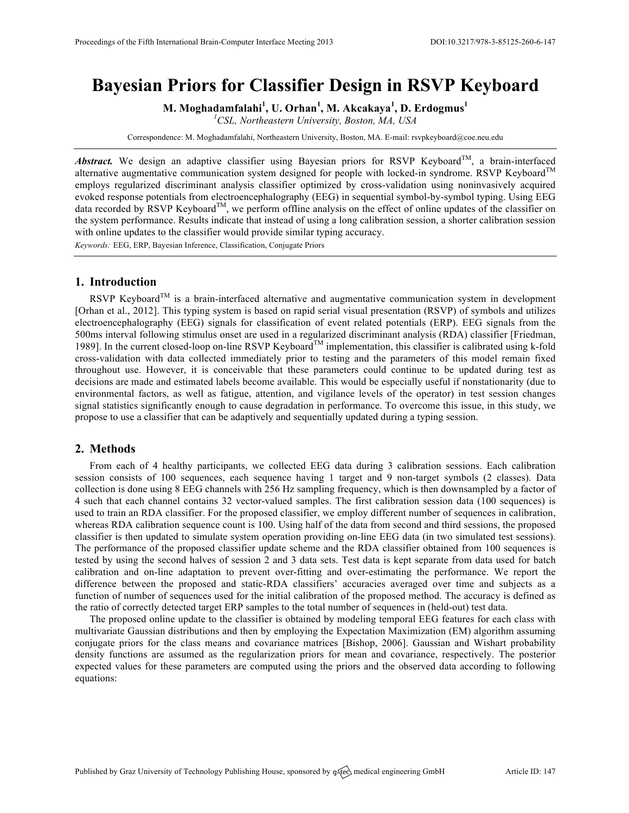# **Bayesian Priors for Classifier Design in RSVP Keyboard**

**M. Moghadamfalahi<sup>1</sup> , U. Orhan<sup>1</sup> , M. Akcakaya<sup>1</sup> , D. Erdogmus<sup>1</sup>**

*1 CSL, Northeastern University, Boston, MA, USA*

Correspondence: M. Moghadamfalahi, Northeastern University, Boston, MA. E-mail: rsvpkeyboard@coe.neu.edu

*Abstract.* We design an adaptive classifier using Bayesian priors for RSVP Keyboard<sup>TM</sup>, a brain-interfaced alternative augmentative communication system designed for people with locked-in syndrome. RSVP Keyboard<sup>TM</sup> employs regularized discriminant analysis classifier optimized by cross-validation using noninvasively acquired evoked response potentials from electroencephalography (EEG) in sequential symbol-by-symbol typing. Using EEG data recorded by RSVP Keyboard<sup>TM</sup>, we perform offline analysis on the effect of online updates of the classifier on the system performance. Results indicate that instead of using a long calibration session, a shorter calibration session with online updates to the classifier would provide similar typing accuracy.

*Keywords:* EEG, ERP, Bayesian Inference, Classification, Conjugate Priors

## **1. Introduction**

RSVP Keyboard<sup>TM</sup> is a brain-interfaced alternative and augmentative communication system in development [Orhan et al., 2012]. This typing system is based on rapid serial visual presentation (RSVP) of symbols and utilizes electroencephalography (EEG) signals for classification of event related potentials (ERP). EEG signals from the 500ms interval following stimulus onset are used in a regularized discriminant analysis (RDA) classifier [Friedman, 1989]. In the current closed-loop on-line RSVP Keyboard™ implementation, this classifier is calibrated using k-fold cross-validation with data collected immediately prior to testing and the parameters of this model remain fixed throughout use. However, it is conceivable that these parameters could continue to be updated during test as decisions are made and estimated labels become available. This would be especially useful if nonstationarity (due to environmental factors, as well as fatigue, attention, and vigilance levels of the operator) in test session changes signal statistics significantly enough to cause degradation in performance. To overcome this issue, in this study, we propose to use a classifier that can be adaptively and sequentially updated during a typing session.

### **2. Methods**

From each of 4 healthy participants, we collected EEG data during 3 calibration sessions. Each calibration session consists of 100 sequences, each sequence having 1 target and 9 non-target symbols (2 classes). Data collection is done using 8 EEG channels with 256 Hz sampling frequency, which is then downsampled by a factor of 4 such that each channel contains 32 vector-valued samples. The first calibration session data (100 sequences) is used to train an RDA classifier. For the proposed classifier, we employ different number of sequences in calibration, whereas RDA calibration sequence count is 100. Using half of the data from second and third sessions, the proposed classifier is then updated to simulate system operation providing on-line EEG data (in two simulated test sessions). The performance of the proposed classifier update scheme and the RDA classifier obtained from 100 sequences is tested by using the second halves of session 2 and 3 data sets. Test data is kept separate from data used for batch calibration and on-line adaptation to prevent over-fitting and over-estimating the performance. We report the difference between the proposed and static-RDA classifiers' accuracies averaged over time and subjects as a function of number of sequences used for the initial calibration of the proposed method. The accuracy is defined as the ratio of correctly detected target ERP samples to the total number of sequences in (held-out) test data.

The proposed online update to the classifier is obtained by modeling temporal EEG features for each class with multivariate Gaussian distributions and then by employing the Expectation Maximization (EM) algorithm assuming conjugate priors for the class means and covariance matrices [Bishop, 2006]. Gaussian and Wishart probability density functions are assumed as the regularization priors for mean and covariance, respectively. The posterior expected values for these parameters are computed using the priors and the observed data according to following equations: